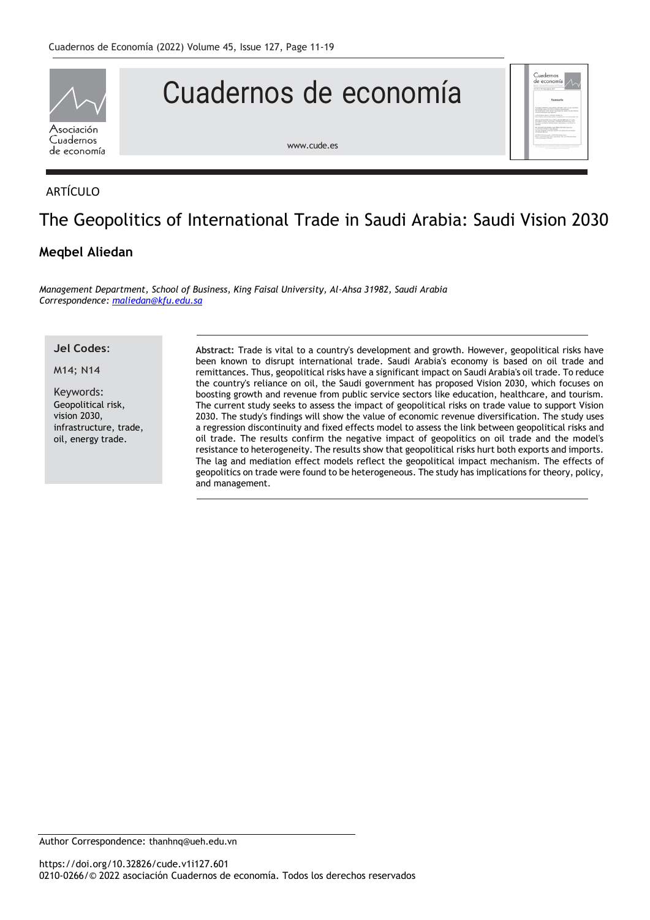

# Cuadernos de economía



[www.cude.es](http://www.cude.es/)

# ARTÍCULO

# The Geopolitics of International Trade in Saudi Arabia: Saudi Vision 2030

# **Meqbel Aliedan**

*Management Department, School of Business, King Faisal University, Al-Ahsa 31982, Saudi Arabia Correspondence: [maliedan@kfu.edu.sa](mailto:maliedan@kfu.edu.sa)*

**Jel Codes**:

M14; N14

Keywords: Geopolitical risk, vision 2030, infrastructure, trade, oil, energy trade.

**Abstract:** Trade is vital to a country's development and growth. However, geopolitical risks have been known to disrupt international trade. Saudi Arabia's economy is based on oil trade and remittances. Thus, geopolitical risks have a significant impact on Saudi Arabia's oil trade. To reduce the country's reliance on oil, the Saudi government has proposed Vision 2030, which focuses on boosting growth and revenue from public service sectors like education, healthcare, and tourism. The current study seeks to assess the impact of geopolitical risks on trade value to support Vision 2030. The study's findings will show the value of economic revenue diversification. The study uses a regression discontinuity and fixed effects model to assess the link between geopolitical risks and oil trade. The results confirm the negative impact of geopolitics on oil trade and the model's resistance to heterogeneity. The results show that geopolitical risks hurt both exports and imports. The lag and mediation effect models reflect the geopolitical impact mechanism. The effects of geopolitics on trade were found to be heterogeneous. The study has implications for theory, policy, and management.

Author Correspondence: [thanhnq@ueh.edu.vn](mailto:thanhnq@ueh.edu.vn)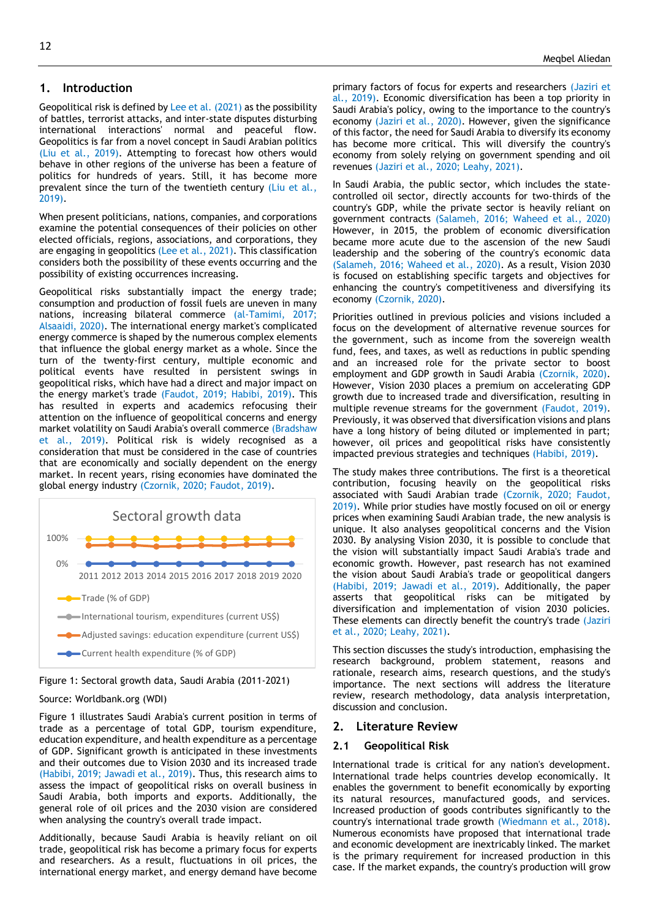# **1. Introduction**

Geopolitical risk is defined by [Lee et al. \(2021\)](#page-7-0) as the possibility of battles, terrorist attacks, and inter-state disputes disturbing international interactions' normal and peaceful flow. Geopolitics is far from a novel concept in Saudi Arabian politics [\(Liu et al., 2019\)](#page-8-0). Attempting to forecast how others would behave in other regions of the universe has been a feature of politics for hundreds of years. Still, it has become more prevalent since the turn of the twentieth century [\(Liu et al.,](#page-8-0)  [2019\)](#page-8-0).

When present politicians, nations, companies, and corporations examine the potential consequences of their policies on other elected officials, regions, associations, and corporations, they are engaging in geopolitics [\(Lee et al., 2021\)](#page-7-0). This classification considers both the possibility of these events occurring and the possibility of existing occurrences increasing.

Geopolitical risks substantially impact the energy trade; consumption and production of fossil fuels are uneven in many nations, increasing bilateral commerce [\(al-Tamimi, 2017;](#page-7-1) [Alsaaidi, 2020\)](#page-7-2). The international energy market's complicated energy commerce is shaped by the numerous complex elements that influence the global energy market as a whole. Since the turn of the twenty-first century, multiple economic and political events have resulted in persistent swings in geopolitical risks, which have had a direct and major impact on the energy market's trade [\(Faudot, 2019;](#page-7-3) [Habibi, 2019\)](#page-7-4). This has resulted in experts and academics refocusing their attention on the influence of geopolitical concerns and energy market volatility on Saudi Arabia's overall commerce [\(Bradshaw](#page-7-5)  [et al., 2019\)](#page-7-5). Political risk is widely recognised as a consideration that must be considered in the case of countries that are economically and socially dependent on the energy market. In recent years, rising economies have dominated the global energy industry [\(Czornik, 2020;](#page-7-6) [Faudot, 2019\)](#page-7-3).





#### Source: Worldbank.org (WDI)

Figure 1 illustrates Saudi Arabia's current position in terms of trade as a percentage of total GDP, tourism expenditure, education expenditure, and health expenditure as a percentage of GDP. Significant growth is anticipated in these investments and their outcomes due to Vision 2030 and its increased trade [\(Habibi, 2019;](#page-7-4) [Jawadi et al., 2019\)](#page-7-7). Thus, this research aims to assess the impact of geopolitical risks on overall business in Saudi Arabia, both imports and exports. Additionally, the general role of oil prices and the 2030 vision are considered when analysing the country's overall trade impact.

Additionally, because Saudi Arabia is heavily reliant on oil trade, geopolitical risk has become a primary focus for experts and researchers. As a result, fluctuations in oil prices, the international energy market, and energy demand have become primary factors of focus for experts and researchers [\(Jaziri et](#page-7-8)  [al., 2019\)](#page-7-8). Economic diversification has been a top priority in Saudi Arabia's policy, owing to the importance to the country's economy [\(Jaziri et al., 2020\)](#page-7-9). However, given the significance of this factor, the need for Saudi Arabia to diversify its economy has become more critical. This will diversify the country's economy from solely relying on government spending and oil revenues [\(Jaziri et al., 2020;](#page-7-9) [Leahy, 2021\)](#page-7-10).

In Saudi Arabia, the public sector, which includes the statecontrolled oil sector, directly accounts for two-thirds of the country's GDP, while the private sector is heavily reliant on government contracts [\(Salameh, 2016;](#page-8-1) [Waheed et al., 2020\)](#page-8-2) However, in 2015, the problem of economic diversification became more acute due to the ascension of the new Saudi leadership and the sobering of the country's economic data [\(Salameh, 2016;](#page-8-1) [Waheed et al., 2020\)](#page-8-2). As a result, Vision 2030 is focused on establishing specific targets and objectives for enhancing the country's competitiveness and diversifying its economy [\(Czornik, 2020\)](#page-7-6).

Priorities outlined in previous policies and visions included a focus on the development of alternative revenue sources for the government, such as income from the sovereign wealth fund, fees, and taxes, as well as reductions in public spending and an increased role for the private sector to boost employment and GDP growth in Saudi Arabia [\(Czornik, 2020\)](#page-7-6). However, Vision 2030 places a premium on accelerating GDP growth due to increased trade and diversification, resulting in multiple revenue streams for the government [\(Faudot, 2019\)](#page-7-3). Previously, it was observed that diversification visions and plans have a long history of being diluted or implemented in part; however, oil prices and geopolitical risks have consistently impacted previous strategies and techniques [\(Habibi, 2019\)](#page-7-4).

The study makes three contributions. The first is a theoretical contribution, focusing heavily on the geopolitical risks associated with Saudi Arabian trade [\(Czornik, 2020;](#page-7-6) [Faudot,](#page-7-3)  [2019\)](#page-7-3). While prior studies have mostly focused on oil or energy prices when examining Saudi Arabian trade, the new analysis is unique. It also analyses geopolitical concerns and the Vision 2030. By analysing Vision 2030, it is possible to conclude that the vision will substantially impact Saudi Arabia's trade and economic growth. However, past research has not examined the vision about Saudi Arabia's trade or geopolitical dangers [\(Habibi, 2019;](#page-7-4) [Jawadi et al., 2019\)](#page-7-7). Additionally, the paper asserts that geopolitical risks can be mitigated by diversification and implementation of vision 2030 policies. These elements can directly benefit the country's trade (Jaziri [et al., 2020;](#page-7-9) [Leahy, 2021\)](#page-7-10).

This section discusses the study's introduction, emphasising the research background, problem statement, reasons and rationale, research aims, research questions, and the study's importance. The next sections will address the literature review, research methodology, data analysis interpretation, discussion and conclusion.

#### **2. Literature Review**

# **2.1 Geopolitical Risk**

International trade is critical for any nation's development. International trade helps countries develop economically. It enables the government to benefit economically by exporting its natural resources, manufactured goods, and services. Increased production of goods contributes significantly to the country's international trade growth [\(Wiedmann et al., 2018\)](#page-8-3). Numerous economists have proposed that international trade and economic development are inextricably linked. The market is the primary requirement for increased production in this case. If the market expands, the country's production will grow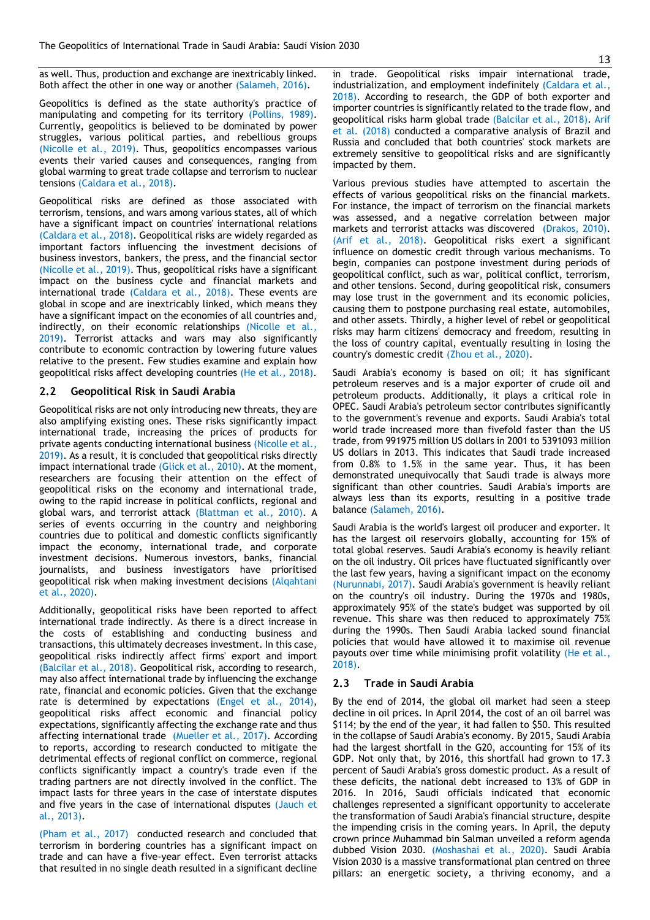as well. Thus, production and exchange are inextricably linked. Both affect the other in one way or another [\(Salameh, 2016\)](#page-8-1).

Geopolitics is defined as the state authority's practice of manipulating and competing for its territory [\(Pollins, 1989\)](#page-8-4). Currently, geopolitics is believed to be dominated by power struggles, various political parties, and rebellious groups [\(Nicolle et al., 2019\)](#page-8-5). Thus, geopolitics encompasses various events their varied causes and consequences, ranging from global warming to great trade collapse and terrorism to nuclear tensions [\(Caldara et al., 2018\)](#page-7-11).

Geopolitical risks are defined as those associated with terrorism, tensions, and wars among various states, all of which have a significant impact on countries' international relations [\(Caldara et al., 2018\)](#page-7-11). Geopolitical risks are widely regarded as important factors influencing the investment decisions of business investors, bankers, the press, and the financial sector [\(Nicolle et al., 2019\)](#page-8-5). Thus, geopolitical risks have a significant impact on the business cycle and financial markets and international trade [\(Caldara et al., 2018\)](#page-7-11). These events are global in scope and are inextricably linked, which means they have a significant impact on the economies of all countries and, indirectly, on their economic relationships [\(Nicolle et al.,](#page-8-5)  [2019\)](#page-8-5). Terrorist attacks and wars may also significantly contribute to economic contraction by lowering future values relative to the present. Few studies examine and explain how geopolitical risks affect developing countries [\(He et al., 2018\)](#page-7-12).

# **2.2 Geopolitical Risk in Saudi Arabia**

Geopolitical risks are not only introducing new threats, they are also amplifying existing ones. These risks significantly impact international trade, increasing the prices of products for private agents conducting international business [\(Nicolle et al.,](#page-8-5)  [2019\)](#page-8-5). As a result, it is concluded that geopolitical risks directly impact international trade [\(Glick et al., 2010\)](#page-7-13). At the moment, researchers are focusing their attention on the effect of geopolitical risks on the economy and international trade, owing to the rapid increase in political conflicts, regional and global wars, and terrorist attack [\(Blattman et al., 2010\)](#page-7-14). A series of events occurring in the country and neighboring countries due to political and domestic conflicts significantly impact the economy, international trade, and corporate investment decisions. Numerous investors, banks, financial journalists, and business investigators have prioritised geopolitical risk when making investment decisions [\(Alqahtani](#page-7-15)  [et al., 2020\)](#page-7-15).

Additionally, geopolitical risks have been reported to affect international trade indirectly. As there is a direct increase in the costs of establishing and conducting business and transactions, this ultimately decreases investment. In this case, geopolitical risks indirectly affect firms' export and import [\(Balcilar et al., 2018\)](#page-7-16). Geopolitical risk, according to research, may also affect international trade by influencing the exchange rate, financial and economic policies. Given that the exchange rate is determined by expectations [\(Engel et al., 2014\)](#page-7-17), geopolitical risks affect economic and financial policy expectations, significantly affecting the exchange rate and thus affecting international trade [\(Mueller et al., 2017\)](#page-8-6). According to reports, according to research conducted to mitigate the detrimental effects of regional conflict on commerce, regional conflicts significantly impact a country's trade even if the trading partners are not directly involved in the conflict. The impact lasts for three years in the case of interstate disputes and five years in the case of international disputes [\(Jauch et](#page-7-18)  [al., 2013\)](#page-7-18).

[\(Pham et al., 2017\)](#page-8-7) conducted research and concluded that terrorism in bordering countries has a significant impact on trade and can have a five-year effect. Even terrorist attacks that resulted in no single death resulted in a significant decline

in trade. Geopolitical risks impair international trade, industrialization, and employment indefinitely [\(Caldara et al.,](#page-7-11)  [2018\)](#page-7-11). According to research, the GDP of both exporter and importer countries is significantly related to the trade flow, and geopolitical risks harm global trade [\(Balcilar et al., 2018\)](#page-7-16). [Arif](#page-7-19)  et al. (2018) conducted a comparative analysis of Brazil and Russia and concluded that both countries' stock markets are extremely sensitive to geopolitical risks and are significantly impacted by them.

Various previous studies have attempted to ascertain the effects of various geopolitical risks on the financial markets. For instance, the impact of terrorism on the financial markets was assessed, and a negative correlation between major markets and terrorist attacks was discovered [\(Drakos, 2010\)](#page-7-20). [\(Arif et al., 2018\)](#page-7-19). Geopolitical risks exert a significant influence on domestic credit through various mechanisms. To begin, companies can postpone investment during periods of geopolitical conflict, such as war, political conflict, terrorism, and other tensions. Second, during geopolitical risk, consumers may lose trust in the government and its economic policies, causing them to postpone purchasing real estate, automobiles, and other assets. Thirdly, a higher level of rebel or geopolitical risks may harm citizens' democracy and freedom, resulting in the loss of country capital, eventually resulting in losing the country's domestic credit [\(Zhou et al., 2020\)](#page-8-8).

Saudi Arabia's economy is based on oil; it has significant petroleum reserves and is a major exporter of crude oil and petroleum products. Additionally, it plays a critical role in OPEC. Saudi Arabia's petroleum sector contributes significantly to the government's revenue and exports. Saudi Arabia's total world trade increased more than fivefold faster than the US trade, from 991975 million US dollars in 2001 to 5391093 million US dollars in 2013. This indicates that Saudi trade increased from 0.8% to 1.5% in the same year. Thus, it has been demonstrated unequivocally that Saudi trade is always more significant than other countries. Saudi Arabia's imports are always less than its exports, resulting in a positive trade balance [\(Salameh, 2016\)](#page-8-1).

Saudi Arabia is the world's largest oil producer and exporter. It has the largest oil reservoirs globally, accounting for 15% of total global reserves. Saudi Arabia's economy is heavily reliant on the oil industry. Oil prices have fluctuated significantly over the last few years, having a significant impact on the economy [\(Nurunnabi, 2017\)](#page-8-9). Saudi Arabia's government is heavily reliant on the country's oil industry. During the 1970s and 1980s, approximately 95% of the state's budget was supported by oil revenue. This share was then reduced to approximately 75% during the 1990s. Then Saudi Arabia lacked sound financial policies that would have allowed it to maximise oil revenue payouts over time while minimising profit volatility [\(He et al.,](#page-7-12)  [2018\)](#page-7-12).

#### **2.3 Trade in Saudi Arabia**

By the end of 2014, the global oil market had seen a steep decline in oil prices. In April 2014, the cost of an oil barrel was \$114; by the end of the year, it had fallen to \$50. This resulted in the collapse of Saudi Arabia's economy. By 2015, Saudi Arabia had the largest shortfall in the G20, accounting for 15% of its GDP. Not only that, by 2016, this shortfall had grown to 17.3 percent of Saudi Arabia's gross domestic product. As a result of these deficits, the national debt increased to 13% of GDP in 2016. In 2016, Saudi officials indicated that economic challenges represented a significant opportunity to accelerate the transformation of Saudi Arabia's financial structure, despite the impending crisis in the coming years. In April, the deputy crown prince Muhammad bin Salman unveiled a reform agenda dubbed Vision 2030. [\(Moshashai et al., 2020\)](#page-8-10). Saudi Arabia Vision 2030 is a massive transformational plan centred on three pillars: an energetic society, a thriving economy, and a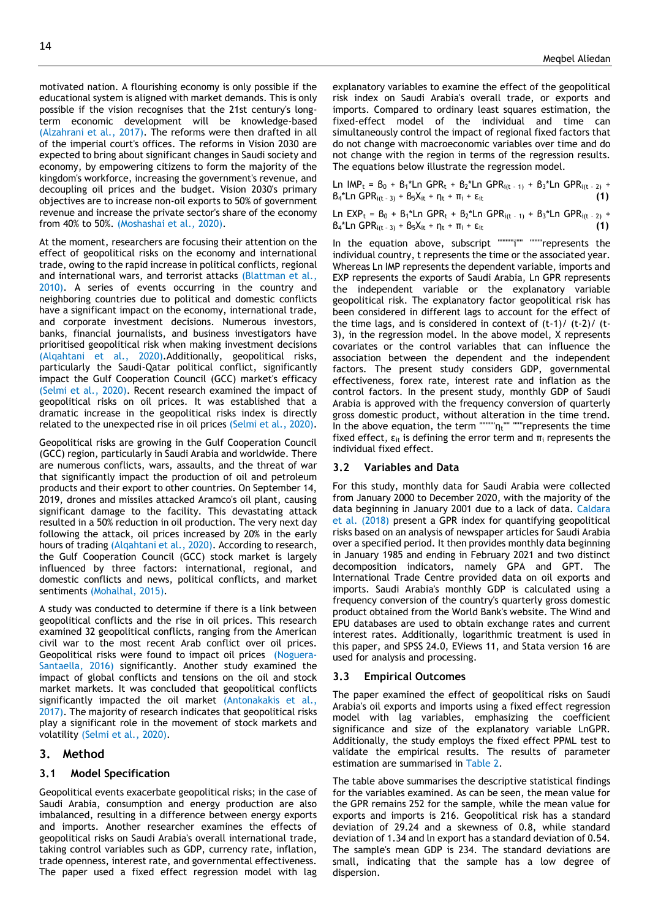motivated nation. A flourishing economy is only possible if the educational system is aligned with market demands. This is only possible if the vision recognises that the 21st century's longterm economic development will be knowledge-based [\(Alzahrani et al., 2017\)](#page-7-21). The reforms were then drafted in all of the imperial court's offices. The reforms in Vision 2030 are expected to bring about significant changes in Saudi society and economy, by empowering citizens to form the majority of the kingdom's workforce, increasing the government's revenue, and decoupling oil prices and the budget. Vision 2030's primary objectives are to increase non-oil exports to 50% of government revenue and increase the private sector's share of the economy from 40% to 50%. [\(Moshashai et al., 2020\)](#page-8-10).

At the moment, researchers are focusing their attention on the effect of geopolitical risks on the economy and international trade, owing to the rapid increase in political conflicts, regional and international wars, and terrorist attacks [\(Blattman et al.,](#page-7-14)  [2010\)](#page-7-14). A series of events occurring in the country and neighboring countries due to political and domestic conflicts have a significant impact on the economy, international trade, and corporate investment decisions. Numerous investors, banks, financial journalists, and business investigators have prioritised geopolitical risk when making investment decisions [\(Alqahtani et al., 2020\)](#page-7-15).Additionally, geopolitical risks, particularly the Saudi-Qatar political conflict, significantly impact the Gulf Cooperation Council (GCC) market's efficacy [\(Selmi et al., 2020\)](#page-8-11). Recent research examined the impact of geopolitical risks on oil prices. It was established that a dramatic increase in the geopolitical risks index is directly related to the unexpected rise in oil prices [\(Selmi et al., 2020\)](#page-8-11).

Geopolitical risks are growing in the Gulf Cooperation Council (GCC) region, particularly in Saudi Arabia and worldwide. There are numerous conflicts, wars, assaults, and the threat of war that significantly impact the production of oil and petroleum products and their export to other countries. On September 14, 2019, drones and missiles attacked Aramco's oil plant, causing significant damage to the facility. This devastating attack resulted in a 50% reduction in oil production. The very next day following the attack, oil prices increased by 20% in the early hours of trading [\(Alqahtani et al., 2020\)](#page-7-15). According to research, the Gulf Cooperation Council (GCC) stock market is largely influenced by three factors: international, regional, and domestic conflicts and news, political conflicts, and market sentiments [\(Mohalhal, 2015\)](#page-8-12).

A study was conducted to determine if there is a link between geopolitical conflicts and the rise in oil prices. This research examined 32 geopolitical conflicts, ranging from the American civil war to the most recent Arab conflict over oil prices. Geopolitical risks were found to impact oil prices [\(Noguera-](#page-8-13)[Santaella, 2016\)](#page-8-13) significantly. Another study examined the impact of global conflicts and tensions on the oil and stock market markets. It was concluded that geopolitical conflicts significantly impacted the oil market [\(Antonakakis et al.,](#page-7-22)  [2017\)](#page-7-22). The majority of research indicates that geopolitical risks play a significant role in the movement of stock markets and volatility [\(Selmi et al., 2020\)](#page-8-11).

# **3. Method**

# **3.1 Model Specification**

Geopolitical events exacerbate geopolitical risks; in the case of Saudi Arabia, consumption and energy production are also imbalanced, resulting in a difference between energy exports and imports. Another researcher examines the effects of geopolitical risks on Saudi Arabia's overall international trade, taking control variables such as GDP, currency rate, inflation, trade openness, interest rate, and governmental effectiveness. The paper used a fixed effect regression model with lag explanatory variables to examine the effect of the geopolitical risk index on Saudi Arabia's overall trade, or exports and imports. Compared to ordinary least squares estimation, the fixed-effect model of the individual and time can simultaneously control the impact of regional fixed factors that do not change with macroeconomic variables over time and do not change with the region in terms of the regression results. The equations below illustrate the regression model.

Ln IMP<sub>t</sub> =  $B_0 + B_1$ <sup>\*</sup>Ln GPR<sub>t</sub> +  $B_2$ <sup>\*</sup>Ln GPR<sub>i(t - 1)</sub> +  $B_3$ <sup>\*</sup>Ln GPR<sub>i(t - 2)</sub> +  $B_4$ <sup>\*</sup>Ln GPR<sub>i(t - 3)</sub> +  $B_5X_{it}$  + η<sub>t</sub> + π<sub>i</sub> + ε<sub>it</sub> (1)

Ln  $EXP_t = B_0 + B_1 * Ln GPR_t + B_2 * Ln GPR_{i(t-1)} + B_3 * Ln GPR_{i(t-2)} +$  $B_4^*$ Ln GPR<sub>i(t - 3)</sub> +  $B_5X_{it}$  + η<sub>t</sub> + π<sub>i</sub> + ε<sub>it</sub> **(1)** 

In the equation above, subscript """""i"" """represents the individual country, t represents the time or the associated year. Whereas Ln IMP represents the dependent variable, imports and EXP represents the exports of Saudi Arabia, Ln GPR represents the independent variable or the explanatory variable geopolitical risk. The explanatory factor geopolitical risk has been considered in different lags to account for the effect of the time lags, and is considered in context of (t-1)/ (t-2)/ (t-3), in the regression model. In the above model, X represents covariates or the control variables that can influence the association between the dependent and the independent factors. The present study considers GDP, governmental effectiveness, forex rate, interest rate and inflation as the control factors. In the present study, monthly GDP of Saudi Arabia is approved with the frequency conversion of quarterly gross domestic product, without alteration in the time trend. In the above equation, the term """""ηt"" """represents the time fixed effect,  $\varepsilon_{it}$  is defining the error term and  $\pi_i$  represents the individual fixed effect.

# **3.2 Variables and Data**

For this study, monthly data for Saudi Arabia were collected from January 2000 to December 2020, with the majority of the data beginning in January 2001 due to a lack of data. [Caldara](#page-7-11)  et al. (2018) present a GPR index for quantifying geopolitical risks based on an analysis of newspaper articles for Saudi Arabia over a specified period. It then provides monthly data beginning in January 1985 and ending in February 2021 and two distinct decomposition indicators, namely GPA and GPT. The International Trade Centre provided data on oil exports and imports. Saudi Arabia's monthly GDP is calculated using a frequency conversion of the country's quarterly gross domestic product obtained from the World Bank's website. The Wind and EPU databases are used to obtain exchange rates and current interest rates. Additionally, logarithmic treatment is used in this paper, and SPSS 24.0, EViews 11, and Stata version 16 are used for analysis and processing.

#### **3.3 Empirical Outcomes**

The paper examined the effect of geopolitical risks on Saudi Arabia's oil exports and imports using a fixed effect regression model with lag variables, emphasizing the coefficient significance and size of the explanatory variable LnGPR. Additionally, the study employs the fixed effect PPML test to validate the empirical results. The results of parameter estimation are summarised in Table 2.

The table above summarises the descriptive statistical findings for the variables examined. As can be seen, the mean value for the GPR remains 252 for the sample, while the mean value for exports and imports is 216. Geopolitical risk has a standard deviation of 29.24 and a skewness of 0.8, while standard deviation of 1.34 and ln export has a standard deviation of 0.54. The sample's mean GDP is 234. The standard deviations are small, indicating that the sample has a low degree of dispersion.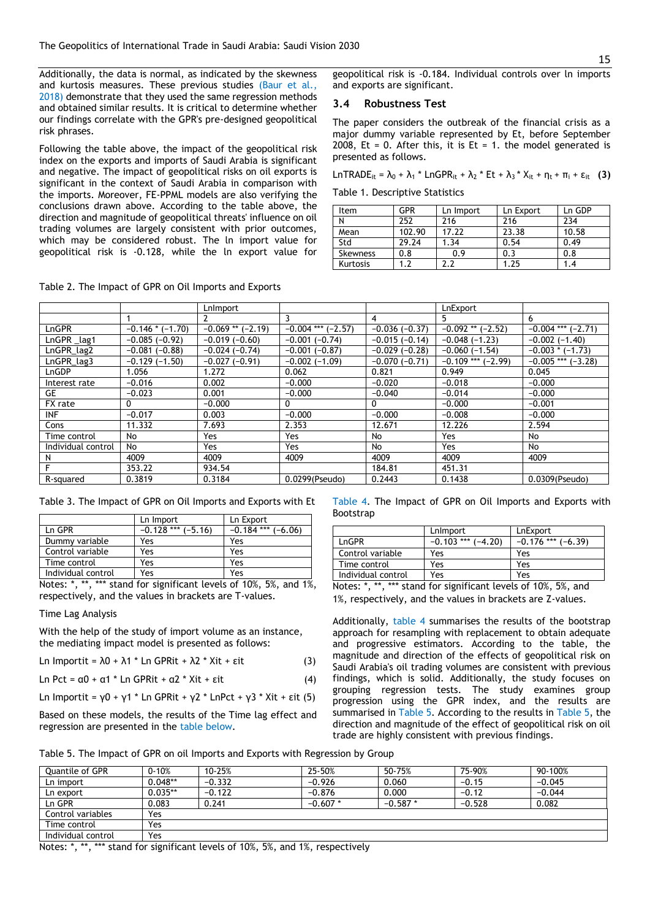Additionally, the data is normal, as indicated by the skewness and kurtosis measures. These previous studies (Baur et al., [2018\)](#page-7-23) demonstrate that they used the same regression methods and obtained similar results. It is critical to determine whether our findings correlate with the GPR's pre-designed geopolitical risk phrases.

Following the table above, the impact of the geopolitical risk index on the exports and imports of Saudi Arabia is significant and negative. The impact of geopolitical risks on oil exports is significant in the context of Saudi Arabia in comparison with the imports. Moreover, FE-PPML models are also verifying the conclusions drawn above. According to the table above, the direction and magnitude of geopolitical threats' influence on oil trading volumes are largely consistent with prior outcomes, which may be considered robust. The ln import value for geopolitical risk is -0.128, while the ln export value for

Table 2. The Impact of GPR on Oil Imports and Exports

geopolitical risk is -0.184. Individual controls over ln imports and exports are significant.

### **3.4 Robustness Test**

The paper considers the outbreak of the financial crisis as a major dummy variable represented by Et, before September 2008, Et = 0. After this, it is Et = 1. the model generated is presented as follows.

LnTRADE<sub>it</sub> =  $\lambda_0$  +  $\lambda_1$  \* LnGPR<sub>it</sub> +  $\lambda_2$  \* Et +  $\lambda_3$  \*  $X_{it}$  +  $\eta_t$  +  $\pi_i$  +  $\varepsilon_{it}$  **(3)** 

Table 1. Descriptive Statistics

| Item     | <b>GPR</b> | Ln Import | Ln Export | Ln GDP |
|----------|------------|-----------|-----------|--------|
|          | 252        | 216       | 216       | 234    |
| Mean     | 102.90     | 17.22     | 23.38     | 10.58  |
| Std      | 29.24      | 1.34      | 0.54      | 0.49   |
| Skewness | 0.8        | 0.9       | 0.3       | 0.8    |
| Kurtosis |            |           | l.25      | 1.4    |

|                    |                      | LnImport              |                      |                 | LnExport              |                        |
|--------------------|----------------------|-----------------------|----------------------|-----------------|-----------------------|------------------------|
|                    |                      |                       | 3                    | 4               | 5.                    | 6                      |
| LnGPR              | $-0.146$ * $(-1.70)$ | $-0.069$ ** $(-2.19)$ | $-0.004$ *** (-2.57) | $-0.036(-0.37)$ | $-0.092$ ** $(-2.52)$ | $-0.004$ *** $(-2.71)$ |
| LnGPR_lag1         | $-0.085(-0.92)$      | $-0.019(-0.60)$       | $-0.001(-0.74)$      | $-0.015(-0.14)$ | $-0.048(-1.23)$       | $-0.002(-1.40)$        |
| LnGPR_lag2         | $-0.081(-0.88)$      | $-0.024(-0.74)$       | $-0.001(-0.87)$      | $-0.029(-0.28)$ | $-0.060(-1.54)$       | $-0.003 * (-1.73)$     |
| $LnGPR$ $lag3$     | $-0.129(-1.50)$      | $-0.027(-0.91)$       | $-0.002(-1.09)$      | $-0.070(-0.71)$ | $-0.109$ *** (-2.99)  | $-0.005$ *** $(-3.28)$ |
| LnGDP              | 1.056                | 1.272                 | 0.062                | 0.821           | 0.949                 | 0.045                  |
| Interest rate      | $-0.016$             | 0.002                 | $-0.000$             | $-0.020$        | $-0.018$              | $-0.000$               |
| GE                 | $-0.023$             | 0.001                 | $-0.000$             | $-0.040$        | $-0.014$              | $-0.000$               |
| FX rate            | 0                    | $-0.000$              | 0                    | 0               | $-0.000$              | $-0.001$               |
| <b>INF</b>         | $-0.017$             | 0.003                 | $-0.000$             | $-0.000$        | $-0.008$              | $-0.000$               |
| Cons               | 11.332               | 7.693                 | 2.353                | 12.671          | 12.226                | 2.594                  |
| Time control       | No                   | Yes                   | Yes                  | No              | Yes                   | No                     |
| Individual control | No                   | Yes                   | Yes                  | No              | Yes                   | No                     |
| N                  | 4009                 | 4009                  | 4009                 | 4009            | 4009                  | 4009                   |
|                    | 353.22               | 934.54                |                      | 184.81          | 451.31                |                        |
| R-squared          | 0.3819               | 0.3184                | 0.0299(Pseudo)       | 0.2443          | 0.1438                | 0.0309(Pseudo)         |

Table 3. The Impact of GPR on Oil Imports and Exports with Et

|                    | Ln Import              | Ln Export              |
|--------------------|------------------------|------------------------|
| Ln GPR             | $-0.128$ *** $(-5.16)$ | $-0.184$ *** $(-6.06)$ |
| Dummy variable     | Yes                    | Yes                    |
| Control variable   | Yes                    | Yes                    |
| Time control       | Yes                    | Yes                    |
| Individual control | Yes                    | Yes                    |

Notes: \*, \*\*, \*\*\* stand for significant levels of 10%, 5%, and 1%, respectively, and the values in brackets are T-values.

Time Lag Analysis

With the help of the study of import volume as an instance, the mediating impact model is presented as follows:

Ln Importit =  $\lambda$ 0 +  $\lambda$ 1 \* Ln GPRit +  $\lambda$ 2 \* Xit + εit (3)

$$
\text{Ln} \, \text{Pct} = \alpha \, 0 + \alpha \, 1 \cdot \text{Ln} \, \text{GPRit} + \alpha \, 2 \cdot \text{Xit} + \epsilon \, \text{it}
$$
\n(4)

Ln Importit =  $\gamma$ 0 +  $\gamma$ 1 \* Ln GPRit +  $\gamma$ 2 \* LnPct +  $\gamma$ 3 \* Xit + εit (5)

Based on these models, the results of the Time lag effect and regression are presented in the table below.

Table 4. The Impact of GPR on Oil Imports and Exports with Bootstrap

|                    | LnImport               | LnExport             |
|--------------------|------------------------|----------------------|
| LnGPR              | $-0.103$ *** $(-4.20)$ | $-0.176$ *** (-6.39) |
| Control variable   | Yes                    | Yes                  |
| Time control       | Yes                    | Yes                  |
| Individual control | Yes                    | Yes                  |

Notes: \*, \*\*, \*\*\* stand for significant levels of 10%, 5%, and 1%, respectively, and the values in brackets are Z-values.

Additionally, table 4 summarises the results of the bootstrap approach for resampling with replacement to obtain adequate and progressive estimators. According to the table, the magnitude and direction of the effects of geopolitical risk on Saudi Arabia's oil trading volumes are consistent with previous findings, which is solid. Additionally, the study focuses on grouping regression tests. The study examines group progression using the GPR index, and the results are summarised in Table 5. According to the results in Table 5, the direction and magnitude of the effect of geopolitical risk on oil trade are highly consistent with previous findings.

Table 5. The Impact of GPR on oil Imports and Exports with Regression by Group

| Quantile of GPR    | $0 - 10%$ | 10-25%   | 25-50%    | 50-75%    | 75-90%   | 90-100%  |
|--------------------|-----------|----------|-----------|-----------|----------|----------|
| Ln import          | $0.048**$ | $-0.332$ | $-0.926$  | 0.060     | $-0.15$  | $-0.045$ |
| Ln export          | $0.035**$ | $-0.122$ | $-0.876$  | 0.000     | $-0.12$  | $-0.044$ |
| Ln GPR             | 0.083     | 0.241    | $-0.607*$ | $-0.587*$ | $-0.528$ | 0.082    |
| Control variables  | Yes       |          |           |           |          |          |
| Time control       | Yes       |          |           |           |          |          |
| Individual control | Yes       |          |           |           |          |          |

Notes: \*, \*\*, \*\*\* stand for significant levels of 10%, 5%, and 1%, respectively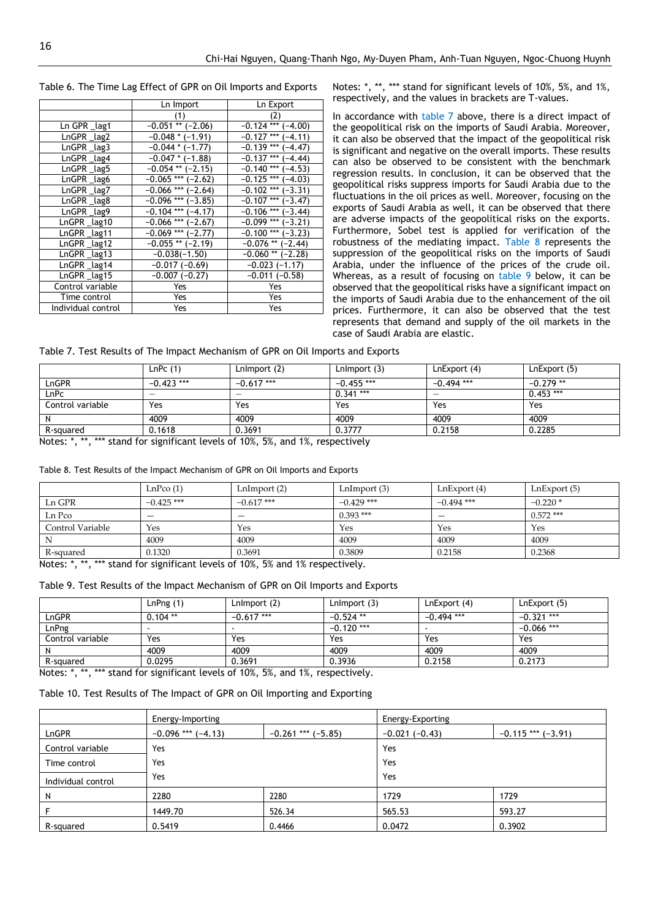|  |  |  | Table 6. The Time Lag Effect of GPR on Oil Imports and Exports |  |  |  |
|--|--|--|----------------------------------------------------------------|--|--|--|
|--|--|--|----------------------------------------------------------------|--|--|--|

|                    | Ln Import              | Ln Export               |
|--------------------|------------------------|-------------------------|
|                    | (1)                    | (2)                     |
| Ln GPR lag1        | $-0.051$ ** $(-2.06)$  | $-0.124$ *** $(-4.00)$  |
| LnGPR lag2         | $-0.048 * (-1.91)$     | $-0.127$ *** $(-4.11)$  |
| LnGPR_lag3         | $-0.044$ * $(-1.77)$   | $-0.139$ ***<br>$-4.47$ |
| $LnGPR \_lag4$     | $-0.047$ * ( $-1.88$ ) | $-0.137$ *** $(-4.44)$  |
| LnGPR lag5         | $-0.054$ ** $(-2.15)$  | $-0.140$ *** $(-4.53)$  |
| LnGPR lag6         | $-0.065$ *** $(-2.62)$ | $-0.125$ *** $(-4.03)$  |
| LnGPR lag7         | $-0.066$ *** $(-2.64)$ | $-0.102$ *** $(-3.31)$  |
| LnGPR lag8         | $-0.096$ *** $(-3.85)$ | $-0.107$ *** $(-3.47)$  |
| LnGPR_lag9         | $-0.104$ *** (-4.17)   | $-0.106$ *** $(-3.44)$  |
| LnGPR lag10        | $-0.066$ *** (-2.67)   | $-0.099$ *** $(-3.21)$  |
| LnGPR lag11        | $-0.069$ *** (-2.77)   | $-0.100$ *** $(-3.23)$  |
| $LnGPR \_lag12$    | $-0.055$ ** $(-2.19)$  | $-0.076$ ** (-2.44)     |
| LnGPR lag13        | $-0.038(-1.50)$        | $-0.060$ ** $(-2.28)$   |
| LnGPR lag14        | $-0.017(-0.69)$        | $-0.023(-1.17)$         |
| LnGPR lag15        | $-0.007(-0.27)$        | $-0.011(-0.58)$         |
| Control variable   | Yes                    | Yes                     |
| Time control       | Yes                    | Yes                     |
| Individual control | Yes                    | Yes                     |

Notes: \*, \*\*, \*\*\* stand for significant levels of 10%, 5%, and 1%, respectively, and the values in brackets are T-values.

In accordance with table 7 above, there is a direct impact of the geopolitical risk on the imports of Saudi Arabia. Moreover, it can also be observed that the impact of the geopolitical risk is significant and negative on the overall imports. These results can also be observed to be consistent with the benchmark regression results. In conclusion, it can be observed that the geopolitical risks suppress imports for Saudi Arabia due to the fluctuations in the oil prices as well. Moreover, focusing on the exports of Saudi Arabia as well, it can be observed that there are adverse impacts of the geopolitical risks on the exports. Furthermore, Sobel test is applied for verification of the robustness of the mediating impact. Table 8 represents the suppression of the geopolitical risks on the imports of Saudi Arabia, under the influence of the prices of the crude oil. Whereas, as a result of focusing on table 9 below, it can be observed that the geopolitical risks have a significant impact on the imports of Saudi Arabia due to the enhancement of the oil prices. Furthermore, it can also be observed that the test represents that demand and supply of the oil markets in the case of Saudi Arabia are elastic.

Table 7. Test Results of The Impact Mechanism of GPR on Oil Imports and Exports

| LnPC(1)      | LnImport (2) | LnImport (3) | LnExport (4) | LnExport (5) |
|--------------|--------------|--------------|--------------|--------------|
| $-0.423$ *** | $-0.617$ *** | $-0.455$ *** | $-0.494$ *** | $-0.279**$   |
|              |              | $0.341***$   |              | $0.453***$   |
| Yes          | Yes          | Yes          | Yes          | Yes          |
| 4009         | 4009         | 4009         | 4009         | 4009         |
| 0.1618       | 0.3691       | 0.3777       | 0.2158       | 0.2285       |
|              |              |              |              |              |

Notes: \*, \*\*, \*\*\* stand for significant levels of 10%, 5%, and 1%, respectively

| Table 8. Test Results of the Impact Mechanism of GPR on Oil Imports and Exports |  |
|---------------------------------------------------------------------------------|--|
|---------------------------------------------------------------------------------|--|

|                  | LnPco(1)     | LnImport(2)  | LnImport(3)  | LnExport(4)  | LnExport(5) |
|------------------|--------------|--------------|--------------|--------------|-------------|
| Ln GPR           | $-0.425$ *** | $-0.617$ *** | $-0.429$ *** | $-0.494$ *** | $-0.220*$   |
| Ln Pco           | –            | –            | $0.393$ ***  |              | $0.572$ *** |
| Control Variable | Yes          | Yes          | Yes          | Yes          | Yes         |
|                  | 4009         | 4009         | 4009         | 4009         | 4009        |
| R-squared        | 0.1320       | 0.3691       | 0.3809       | 0.2158       | 0.2368      |

Notes: \*, \*\*, \*\*\* stand for significant levels of 10%, 5% and 1% respectively.

Table 9. Test Results of the Impact Mechanism of GPR on Oil Imports and Exports

|                  | LnPng(1)   | Lnimport (2) | LnImport (3) | LnExport (4) | LnExport (5) |
|------------------|------------|--------------|--------------|--------------|--------------|
| LnGPR            | $0.104$ ** | $-0.617$ *** | $-0.524$ **  | $-0.494$ *** | $-0.321$ *** |
| LnPng            |            |              | $-0.120$ *** |              | $-0.066$ *** |
| Control variable | Yes        | Yes          | Yes          | Yes          | Yes          |
|                  | 4009       | 4009         | 4009         | 4009         | 4009         |
| R-squared        | 0.0295     | 0.3691       | 0.3936       | 0.2158       | 0.2173       |

Notes: \*, \*\*, \*\*\* stand for significant levels of 10%, 5%, and 1%, respectively.

# Table 10. Test Results of The Impact of GPR on Oil Importing and Exporting

|                    | Energy-Importing       |                      | Energy-Exporting |                      |  |
|--------------------|------------------------|----------------------|------------------|----------------------|--|
| LnGPR              | $-0.096$ *** $(-4.13)$ | $-0.261$ *** (-5.85) | $-0.021(-0.43)$  | $-0.115$ *** (-3.91) |  |
| Control variable   | Yes                    |                      | Yes              |                      |  |
| Time control       | Yes                    |                      | Yes              |                      |  |
| Individual control | Yes                    |                      | Yes              |                      |  |
| N                  | 2280                   | 2280                 | 1729             | 1729                 |  |
|                    | 1449.70                | 526.34               | 565.53           | 593.27               |  |
| R-squared          | 0.5419                 | 0.4466               | 0.0472           | 0.3902               |  |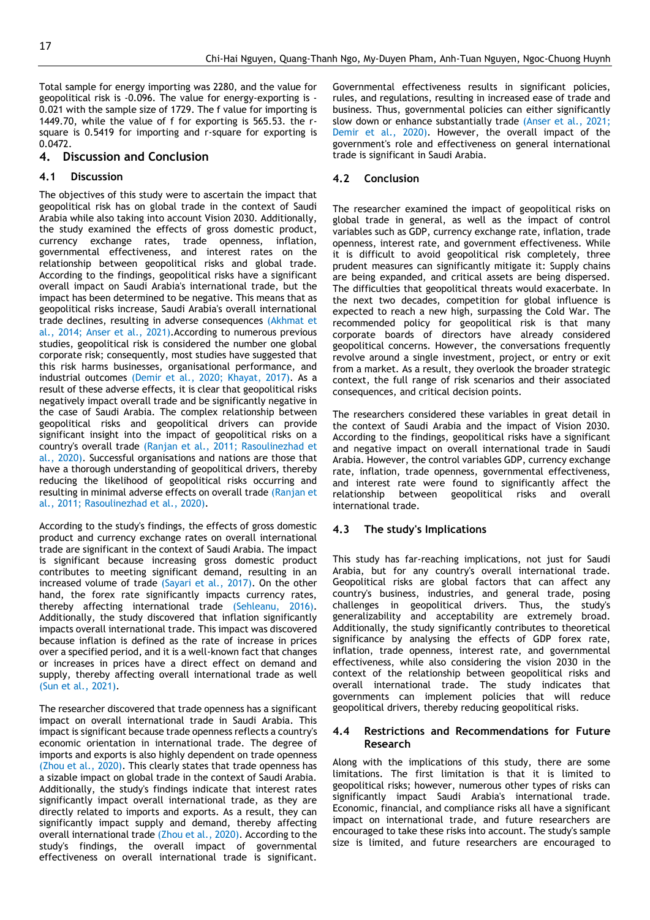Total sample for energy importing was 2280, and the value for geopolitical risk is -0.096. The value for energy-exporting is - 0.021 with the sample size of 1729. The f value for importing is 1449.70, while the value of f for exporting is 565.53. the rsquare is 0.5419 for importing and r-square for exporting is 0.0472.

# **4. Discussion and Conclusion**

# **4.1 Discussion**

The objectives of this study were to ascertain the impact that geopolitical risk has on global trade in the context of Saudi Arabia while also taking into account Vision 2030. Additionally, the study examined the effects of gross domestic product, currency exchange rates, trade openness, inflation, governmental effectiveness, and interest rates on the relationship between geopolitical risks and global trade. According to the findings, geopolitical risks have a significant overall impact on Saudi Arabia's international trade, but the impact has been determined to be negative. This means that as geopolitical risks increase, Saudi Arabia's overall international trade declines, resulting in adverse consequences [\(Akhmat et](#page-7-24)  [al., 2014;](#page-7-24) [Anser et al., 2021\)](#page-7-25).According to numerous previous studies, geopolitical risk is considered the number one global corporate risk; consequently, most studies have suggested that this risk harms businesses, organisational performance, and industrial outcomes [\(Demir et al., 2020;](#page-7-26) [Khayat, 2017\)](#page-7-27). As a result of these adverse effects, it is clear that geopolitical risks negatively impact overall trade and be significantly negative in the case of Saudi Arabia. The complex relationship between geopolitical risks and geopolitical drivers can provide significant insight into the impact of geopolitical risks on a country's overall trade [\(Ranjan et al., 2011;](#page-8-14) [Rasoulinezhad et](#page-8-15)  [al., 2020\)](#page-8-15). Successful organisations and nations are those that have a thorough understanding of geopolitical drivers, thereby reducing the likelihood of geopolitical risks occurring and resulting in minimal adverse effects on overall trade [\(Ranjan et](#page-8-14)  [al., 2011;](#page-8-14) [Rasoulinezhad et al., 2020\)](#page-8-15).

According to the study's findings, the effects of gross domestic product and currency exchange rates on overall international trade are significant in the context of Saudi Arabia. The impact is significant because increasing gross domestic product contributes to meeting significant demand, resulting in an increased volume of trade [\(Sayari et al., 2017\)](#page-8-16). On the other hand, the forex rate significantly impacts currency rates, thereby affecting international trade [\(Sehleanu,](#page-8-17) 2016). Additionally, the study discovered that inflation significantly impacts overall international trade. This impact was discovered because inflation is defined as the rate of increase in prices over a specified period, and it is a well-known fact that changes or increases in prices have a direct effect on demand and supply, thereby affecting overall international trade as well [\(Sun et al., 2021\)](#page-8-18).

The researcher discovered that trade openness has a significant impact on overall international trade in Saudi Arabia. This impact is significant because trade openness reflects a country's economic orientation in international trade. The degree of imports and exports is also highly dependent on trade openness [\(Zhou et al., 2020\)](#page-8-8). This clearly states that trade openness has a sizable impact on global trade in the context of Saudi Arabia. Additionally, the study's findings indicate that interest rates significantly impact overall international trade, as they are directly related to imports and exports. As a result, they can significantly impact supply and demand, thereby affecting overall international trade [\(Zhou et al., 2020\)](#page-8-8). According to the study's findings, the overall impact of governmental effectiveness on overall international trade is significant.

Governmental effectiveness results in significant policies, rules, and regulations, resulting in increased ease of trade and business. Thus, governmental policies can either significantly slow down or enhance substantially trade [\(Anser et al., 2021;](#page-7-25) [Demir et al., 2020\)](#page-7-26). However, the overall impact of the government's role and effectiveness on general international trade is significant in Saudi Arabia.

#### **4.2 Conclusion**

The researcher examined the impact of geopolitical risks on global trade in general, as well as the impact of control variables such as GDP, currency exchange rate, inflation, trade openness, interest rate, and government effectiveness. While it is difficult to avoid geopolitical risk completely, three prudent measures can significantly mitigate it: Supply chains are being expanded, and critical assets are being dispersed. The difficulties that geopolitical threats would exacerbate. In the next two decades, competition for global influence is expected to reach a new high, surpassing the Cold War. The recommended policy for geopolitical risk is that many corporate boards of directors have already considered geopolitical concerns. However, the conversations frequently revolve around a single investment, project, or entry or exit from a market. As a result, they overlook the broader strategic context, the full range of risk scenarios and their associated consequences, and critical decision points.

The researchers considered these variables in great detail in the context of Saudi Arabia and the impact of Vision 2030. According to the findings, geopolitical risks have a significant and negative impact on overall international trade in Saudi Arabia. However, the control variables GDP, currency exchange rate, inflation, trade openness, governmental effectiveness, and interest rate were found to significantly affect the relationship between geopolitical risks and overall international trade.

#### **4.3 The study's Implications**

This study has far-reaching implications, not just for Saudi Arabia, but for any country's overall international trade. Geopolitical risks are global factors that can affect any country's business, industries, and general trade, posing challenges in geopolitical drivers. Thus, the study's generalizability and acceptability are extremely broad. Additionally, the study significantly contributes to theoretical significance by analysing the effects of GDP forex rate, inflation, trade openness, interest rate, and governmental effectiveness, while also considering the vision 2030 in the context of the relationship between geopolitical risks and overall international trade. The study indicates that governments can implement policies that will reduce geopolitical drivers, thereby reducing geopolitical risks.

# **4.4 Restrictions and Recommendations for Future Research**

Along with the implications of this study, there are some limitations. The first limitation is that it is limited to geopolitical risks; however, numerous other types of risks can significantly impact Saudi Arabia's international trade. Economic, financial, and compliance risks all have a significant impact on international trade, and future researchers are encouraged to take these risks into account. The study's sample size is limited, and future researchers are encouraged to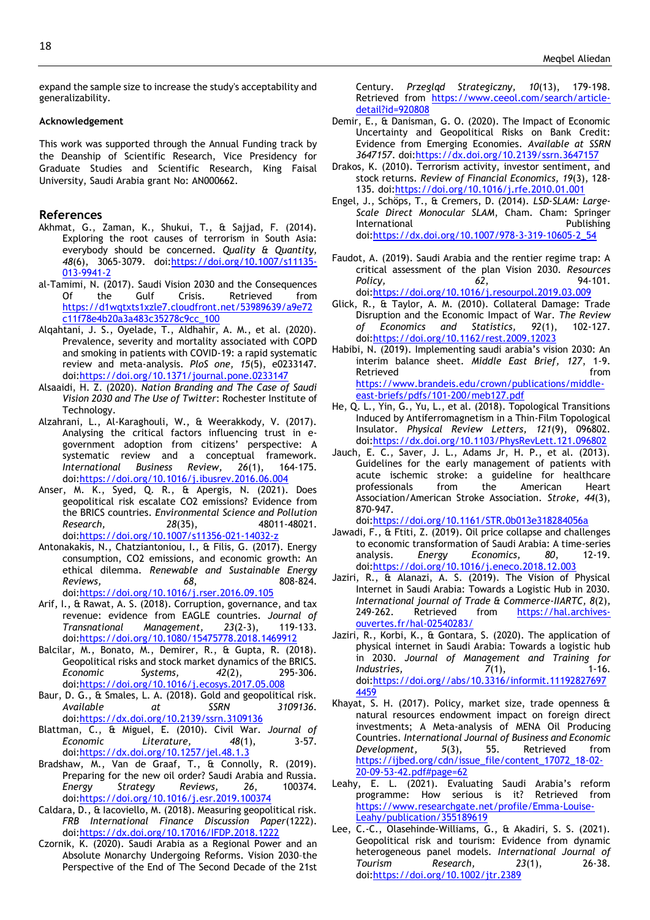expand the sample size to increase the study's acceptability and generalizability.

#### **Acknowledgement**

This work was supported through the Annual Funding track by the Deanship of Scientific Research, Vice Presidency for Graduate Studies and Scientific Research, King Faisal University, Saudi Arabia grant No: AN000662.

#### **References**

- <span id="page-7-24"></span>Akhmat, G., Zaman, K., Shukui, T., & Sajjad, F. (2014). Exploring the root causes of terrorism in South Asia: everybody should be concerned. *Quality & Quantity,*  48(6), 3065-3079. doi[:https://doi.org/10.1007/s11135-](https://doi.org/10.1007/s11135-013-9941-2) [013-9941-2](https://doi.org/10.1007/s11135-013-9941-2)
- <span id="page-7-1"></span>al-Tamimi, N. (2017). Saudi Vision 2030 and the Consequences Of the Gulf Crisis. Retrieved from [https://d1wqtxts1xzle7.cloudfront.net/53989639/a9e72](https://d1wqtxts1xzle7.cloudfront.net/53989639/a9e72c11f78e4b20a3a483c35278c9cc_100) [c11f78e4b20a3a483c35278c9cc\\_100](https://d1wqtxts1xzle7.cloudfront.net/53989639/a9e72c11f78e4b20a3a483c35278c9cc_100)
- <span id="page-7-15"></span>Alqahtani, J. S., Oyelade, T., Aldhahir, A. M., et al. (2020). Prevalence, severity and mortality associated with COPD and smoking in patients with COVID-19: a rapid systematic review and meta-analysis. *PloS one, 15*(5), e0233147. doi[:https://doi.org/10.1371/journal.pone.0233147](https://doi.org/10.1371/journal.pone.0233147)
- <span id="page-7-2"></span>Alsaaidi, H. Z. (2020). *Nation Branding and The Case of Saudi Vision 2030 and The Use of Twitter*: Rochester Institute of Technology.
- <span id="page-7-21"></span>Alzahrani, L., Al-Karaghouli, W., & Weerakkody, V. (2017). Analysing the critical factors influencing trust in egovernment adoption from citizens' perspective: A systematic review and a conceptual framework. *International Business Review, 26*(1), 164-175. doi[:https://doi.org/10.1016/j.ibusrev.2016.06.004](https://doi.org/10.1016/j.ibusrev.2016.06.004)
- <span id="page-7-25"></span>Anser, M. K., Syed, Q. R., & Apergis, N. (2021). Does geopolitical risk escalate CO2 emissions? Evidence from the BRICS countries. *Environmental Science and Pollution Research, 28*(35), 48011-48021. doi[:https://doi.org/10.1007/s11356-021-14032-z](https://doi.org/10.1007/s11356-021-14032-z)
- <span id="page-7-22"></span>Antonakakis, N., Chatziantoniou, I., & Filis, G. (2017). Energy consumption, CO2 emissions, and economic growth: An ethical dilemma. *Renewable and Sustainable Energy Reviews, 68*, 808-824. doi[:https://doi.org/10.1016/j.rser.2016.09.105](https://doi.org/10.1016/j.rser.2016.09.105)
- <span id="page-7-19"></span>Arif, I., & Rawat, A. S. (2018). Corruption, governance, and tax revenue: evidence from EAGLE countries. *Journal of Transnational Management, 23*(2-3), 119-133. doi[:https://doi.org/10.1080/15475778.2018.1469912](https://doi.org/10.1080/15475778.2018.1469912)
- <span id="page-7-16"></span>Balcilar, M., Bonato, M., Demirer, R., & Gupta, R. (2018). Geopolitical risks and stock market dynamics of the BRICS. *Economic Systems, 42*(2), 295-306. doi[:https://doi.org/10.1016/j.ecosys.2017.05.008](https://doi.org/10.1016/j.ecosys.2017.05.008)
- <span id="page-7-23"></span>Baur, D. G., & Smales, L. A. (2018). Gold and geopolitical risk. *Available at SSRN 3109136*. doi: https://dx.doi.org/10.2139/ssrn.3109136
- <span id="page-7-14"></span>Blattman, C., & Miguel, E. (2010). Civil War. *Journal of Economic Literature, 48*(1), 3-57. doi[:https://dx.doi.org/10.1257/jel.48.1.3](https://dx.doi.org/10.1257/jel.48.1.3)
- <span id="page-7-5"></span>Bradshaw, M., Van de Graaf, T., & Connolly, R. (2019). Preparing for the new oil order? Saudi Arabia and Russia. *Energy Strategy Reviews, 26*, 100374. doi[:https://doi.org/10.1016/j.esr.2019.100374](https://doi.org/10.1016/j.esr.2019.100374)
- <span id="page-7-11"></span>Caldara, D., & Iacoviello, M. (2018). Measuring geopolitical risk. *FRB International Finance Discussion Paper*(1222). doi[:https://dx.doi.org/10.17016/IFDP.2018.1222](https://dx.doi.org/10.17016/IFDP.2018.1222)
- <span id="page-7-6"></span>Czornik, K. (2020). Saudi Arabia as a Regional Power and an Absolute Monarchy Undergoing Reforms. Vision 2030–the Perspective of the End of The Second Decade of the 21st

Century. *Przegląd Strategiczny, 10*(13), 179-198. Retrieved from [https://www.ceeol.com/search/article](https://www.ceeol.com/search/article-detail?id=920808)[detail?id=920808](https://www.ceeol.com/search/article-detail?id=920808)

- <span id="page-7-26"></span>Demir, E., & Danisman, G. O. (2020). The Impact of Economic Uncertainty and Geopolitical Risks on Bank Credit: Evidence from Emerging Economies. *Available at SSRN 3647157*. doi[:https://dx.doi.org/10.2139/ssrn.3647157](https://dx.doi.org/10.2139/ssrn.3647157)
- <span id="page-7-20"></span>Drakos, K. (2010). Terrorism activity, investor sentiment, and stock returns. *Review of Financial Economics, 19*(3), 128- 135. doi[:https://doi.org/10.1016/j.rfe.2010.01.001](https://doi.org/10.1016/j.rfe.2010.01.001)
- <span id="page-7-17"></span>Engel, J., Schöps, T., & Cremers, D. (2014). *LSD-SLAM: Large-Scale Direct Monocular SLAM*, Cham. Cham: Springer International **Publishing** doi[:https://dx.doi.org/10.1007/978-3-319-10605-2\\_54](https://dx.doi.org/10.1007/978-3-319-10605-2_54)
- <span id="page-7-3"></span>Faudot, A. (2019). Saudi Arabia and the rentier regime trap: A critical assessment of the plan Vision 2030. *Resources Policy, 62*, 94-101. doi[:https://doi.org/10.1016/j.resourpol.2019.03.009](https://doi.org/10.1016/j.resourpol.2019.03.009)
- <span id="page-7-13"></span>Glick, R., & Taylor, A. M. (2010). Collateral Damage: Trade Disruption and the Economic Impact of War. *The Review of Economics and Statistics, 92*(1), 102-127. doi[:https://doi.org/10.1162/rest.2009.12023](https://doi.org/10.1162/rest.2009.12023)
- <span id="page-7-4"></span>Habibi, N. (2019). Implementing saudi arabia's vision 2030: An interim balance sheet. *Middle East Brief, 127*, 1-9. Retrieved from the set of the set of the set of the set of the set of the set of the set of the set of the set of the set of the set of the set of the set of the set of the set of the set of the set of the set of the set o [https://www.brandeis.edu/crown/publications/middle](https://www.brandeis.edu/crown/publications/middle-east-briefs/pdfs/101-200/meb127.pdf)[east-briefs/pdfs/101-200/meb127.pdf](https://www.brandeis.edu/crown/publications/middle-east-briefs/pdfs/101-200/meb127.pdf)
- <span id="page-7-12"></span>He, Q. L., Yin, G., Yu, L., et al. (2018). Topological Transitions Induced by Antiferromagnetism in a Thin-Film Topological Insulator. *Physical Review Letters, 121*(9), 096802. doi[:https://dx.doi.org/10.1103/PhysRevLett.121.096802](https://dx.doi.org/10.1103/PhysRevLett.121.096802)
- <span id="page-7-18"></span>Jauch, E. C., Saver, J. L., Adams Jr, H. P., et al. (2013). Guidelines for the early management of patients with acute ischemic stroke: a guideline for healthcare professionals from the American Heart Association/American Stroke Association. *Stroke, 44*(3), 870-947.
	- doi[:https://doi.org/10.1161/STR.0b013e318284056a](https://doi.org/10.1161/STR.0b013e318284056a)
- <span id="page-7-7"></span>Jawadi, F., & Ftiti, Z. (2019). Oil price collapse and challenges to economic transformation of Saudi Arabia: A time-series analysis. *Energy Economics, 80*, 12-19. doi[:https://doi.org/10.1016/j.eneco.2018.12.003](https://doi.org/10.1016/j.eneco.2018.12.003)
- <span id="page-7-8"></span>Jaziri, R., & Alanazi, A. S. (2019). The Vision of Physical Internet in Saudi Arabia: Towards a Logistic Hub in 2030. *International journal of Trade & Commerce-IIARTC, 8*(2), 249-262. Retrieved from [https://hal.archives](https://hal.archives-ouvertes.fr/hal-02540283/)[ouvertes.fr/hal-02540283/](https://hal.archives-ouvertes.fr/hal-02540283/)
- <span id="page-7-9"></span>Jaziri, R., Korbi, K., & Gontara, S. (2020). The application of physical internet in Saudi Arabia: Towards a logistic hub in 2030. *Journal of Management and Training for Industries,*  $7(1)$ , 1-16. doi[:https://doi.org//abs/10.3316/informit.11192827697](https://doi.org/abs/10.3316/informit.111928276974459) [4459](https://doi.org/abs/10.3316/informit.111928276974459)
- <span id="page-7-27"></span>Khayat, S. H. (2017). Policy, market size, trade openness & natural resources endowment impact on foreign direct investments; A Meta-analysis of MENA Oil Producing Countries. *International Journal of Business and Economic Development, 5*(3), 55. Retrieved from [https://ijbed.org/cdn/issue\\_file/content\\_17072\\_18-02-](https://ijbed.org/cdn/issue_file/content_17072_18-02-20-09-53-42.pdf#page=62) [20-09-53-42.pdf#page=62](https://ijbed.org/cdn/issue_file/content_17072_18-02-20-09-53-42.pdf#page=62)
- <span id="page-7-10"></span>Leahy, E. L. (2021). Evaluating Saudi Arabia's reform programme: How serious is it? Retrieved from [https://www.researchgate.net/profile/Emma-Louise-](https://www.researchgate.net/profile/Emma-Louise-Leahy/publication/355189619)[Leahy/publication/355189619](https://www.researchgate.net/profile/Emma-Louise-Leahy/publication/355189619)
- <span id="page-7-0"></span>Lee, C.-C., Olasehinde-Williams, G., & Akadiri, S. S. (2021). Geopolitical risk and tourism: Evidence from dynamic heterogeneous panel models. *International Journal of Tourism Research, 23*(1), 26-38. doi[:https://doi.org/10.1002/jtr.2389](https://doi.org/10.1002/jtr.2389)